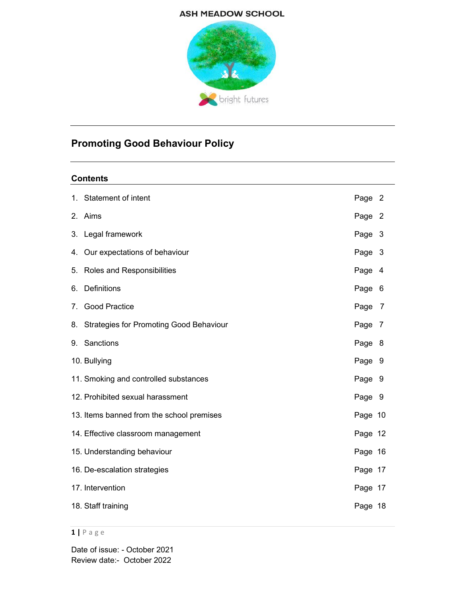# **ASH MEADOW SCHOOL**



# Promoting Good Behaviour Policy

# **Contents**

|    | 1. Statement of intent                     | Page 2  |  |
|----|--------------------------------------------|---------|--|
|    | 2. Aims                                    | Page 2  |  |
|    | 3. Legal framework                         | Page 3  |  |
|    | 4. Our expectations of behaviour           | Page 3  |  |
|    | 5. Roles and Responsibilities              | Page 4  |  |
| 6. | Definitions                                | Page 6  |  |
|    | 7. Good Practice                           | Page 7  |  |
|    | 8. Strategies for Promoting Good Behaviour | Page 7  |  |
|    | 9. Sanctions                               | Page 8  |  |
|    | 10. Bullying                               | Page 9  |  |
|    | 11. Smoking and controlled substances      | Page 9  |  |
|    | 12. Prohibited sexual harassment           | Page 9  |  |
|    | 13. Items banned from the school premises  | Page 10 |  |
|    | 14. Effective classroom management         | Page 12 |  |
|    | 15. Understanding behaviour                | Page 16 |  |
|    | 16. De-escalation strategies               | Page 17 |  |
|    | 17. Intervention                           | Page 17 |  |
|    | 18. Staff training                         | Page 18 |  |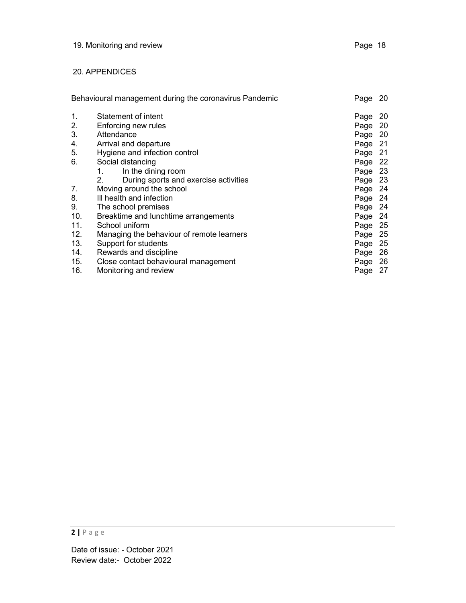# 20. APPENDICES

| Behavioural management during the coronavirus Pandemic |                                                         | Page    | 20  |
|--------------------------------------------------------|---------------------------------------------------------|---------|-----|
| 1.                                                     | Statement of intent                                     | Page    | 20  |
| 2.                                                     | Enforcing new rules                                     | Page 20 |     |
| 3.                                                     | Attendance                                              | Page 20 |     |
| 4.                                                     | Arrival and departure                                   | Page 21 |     |
| 5.                                                     | Hygiene and infection control                           | Page 21 |     |
| 6.                                                     | Social distancing                                       | Page 22 |     |
|                                                        | In the dining room                                      | Page 23 |     |
|                                                        | 2 <sub>1</sub><br>During sports and exercise activities | Page 23 |     |
| 7.                                                     | Moving around the school                                | Page 24 |     |
| 8.                                                     | III health and infection                                | Page 24 |     |
| 9.                                                     | The school premises                                     | Page 24 |     |
| 10.                                                    | Breaktime and lunchtime arrangements                    | Page 24 |     |
| 11.                                                    | School uniform                                          | Page 25 |     |
| 12.                                                    | Managing the behaviour of remote learners               | Page 25 |     |
| 13.                                                    | Support for students                                    | Page    | -25 |
| 14.                                                    | Rewards and discipline                                  | Page    | -26 |
| 15.                                                    | Close contact behavioural management                    | Page 26 |     |
| 16.                                                    | Monitoring and review                                   | Page 27 |     |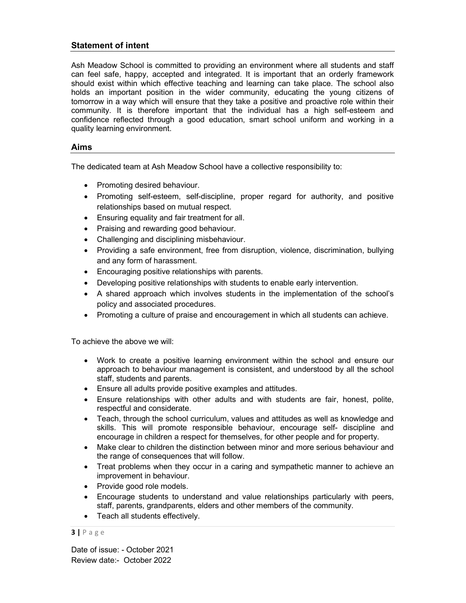# Statement of intent

Ash Meadow School is committed to providing an environment where all students and staff can feel safe, happy, accepted and integrated. It is important that an orderly framework should exist within which effective teaching and learning can take place. The school also holds an important position in the wider community, educating the young citizens of tomorrow in a way which will ensure that they take a positive and proactive role within their community. It is therefore important that the individual has a high self-esteem and confidence reflected through a good education, smart school uniform and working in a quality learning environment.

## Aims

The dedicated team at Ash Meadow School have a collective responsibility to:

- Promoting desired behaviour.
- Promoting self-esteem, self-discipline, proper regard for authority, and positive relationships based on mutual respect.
- Ensuring equality and fair treatment for all.
- Praising and rewarding good behaviour.
- Challenging and disciplining misbehaviour.
- Providing a safe environment, free from disruption, violence, discrimination, bullying and any form of harassment.
- Encouraging positive relationships with parents.
- Developing positive relationships with students to enable early intervention.
- A shared approach which involves students in the implementation of the school's policy and associated procedures.
- Promoting a culture of praise and encouragement in which all students can achieve.

To achieve the above we will:

- Work to create a positive learning environment within the school and ensure our approach to behaviour management is consistent, and understood by all the school staff, students and parents.
- Ensure all adults provide positive examples and attitudes.
- Ensure relationships with other adults and with students are fair, honest, polite, respectful and considerate.
- Teach, through the school curriculum, values and attitudes as well as knowledge and skills. This will promote responsible behaviour, encourage self- discipline and encourage in children a respect for themselves, for other people and for property.
- Make clear to children the distinction between minor and more serious behaviour and the range of consequences that will follow.
- Treat problems when they occur in a caring and sympathetic manner to achieve an improvement in behaviour.
- Provide good role models.
- Encourage students to understand and value relationships particularly with peers, staff, parents, grandparents, elders and other members of the community.
- Teach all students effectively.

#### $3 | P \text{ age}$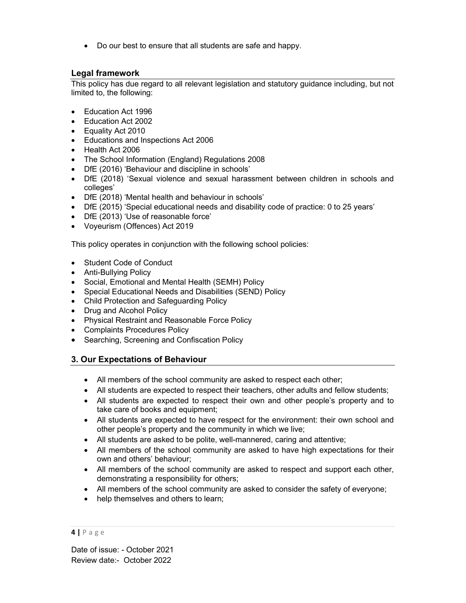Do our best to ensure that all students are safe and happy.

# Legal framework

This policy has due regard to all relevant legislation and statutory guidance including, but not limited to, the following:

- Education Act 1996
- Education Act 2002
- Equality Act 2010
- Educations and Inspections Act 2006
- Health Act 2006
- The School Information (England) Regulations 2008
- DfE (2016) 'Behaviour and discipline in schools'
- DfE (2018) 'Sexual violence and sexual harassment between children in schools and colleges'
- DfE (2018) 'Mental health and behaviour in schools'
- DfE (2015) 'Special educational needs and disability code of practice: 0 to 25 years'
- DfE (2013) 'Use of reasonable force'
- Voyeurism (Offences) Act 2019

This policy operates in conjunction with the following school policies:

- Student Code of Conduct
- Anti-Bullying Policy
- Social, Emotional and Mental Health (SEMH) Policy
- Special Educational Needs and Disabilities (SEND) Policy
- Child Protection and Safeguarding Policy
- Drug and Alcohol Policy
- Physical Restraint and Reasonable Force Policy
- Complaints Procedures Policy
- Searching, Screening and Confiscation Policy

# 3. Our Expectations of Behaviour

- All members of the school community are asked to respect each other;
- All students are expected to respect their teachers, other adults and fellow students;
- All students are expected to respect their own and other people's property and to take care of books and equipment;
- All students are expected to have respect for the environment: their own school and other people's property and the community in which we live;
- All students are asked to be polite, well-mannered, caring and attentive;
- All members of the school community are asked to have high expectations for their own and others' behaviour;
- All members of the school community are asked to respect and support each other, demonstrating a responsibility for others;
- All members of the school community are asked to consider the safety of everyone;
- help themselves and others to learn;

<sup>4 |</sup> P a g e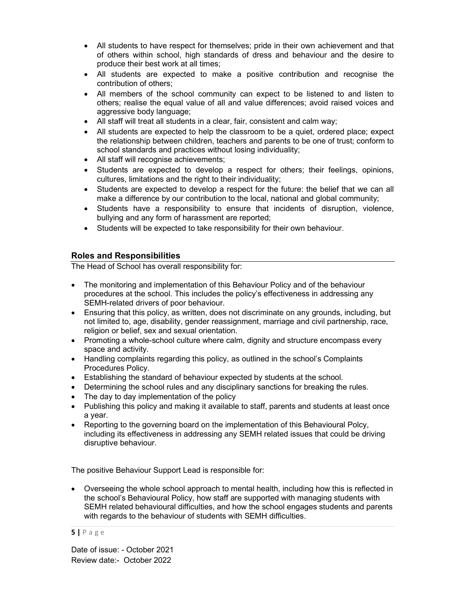- All students to have respect for themselves; pride in their own achievement and that of others within school, high standards of dress and behaviour and the desire to produce their best work at all times;
- All students are expected to make a positive contribution and recognise the contribution of others;
- All members of the school community can expect to be listened to and listen to others; realise the equal value of all and value differences; avoid raised voices and aggressive body language;
- All staff will treat all students in a clear, fair, consistent and calm way;
- All students are expected to help the classroom to be a quiet, ordered place; expect the relationship between children, teachers and parents to be one of trust; conform to school standards and practices without losing individuality;
- All staff will recognise achievements;
- Students are expected to develop a respect for others; their feelings, opinions, cultures, limitations and the right to their individuality;
- Students are expected to develop a respect for the future: the belief that we can all make a difference by our contribution to the local, national and global community;
- Students have a responsibility to ensure that incidents of disruption, violence, bullying and any form of harassment are reported;
- Students will be expected to take responsibility for their own behaviour.

# Roles and Responsibilities

The Head of School has overall responsibility for:

- The monitoring and implementation of this Behaviour Policy and of the behaviour procedures at the school. This includes the policy's effectiveness in addressing any SEMH-related drivers of poor behaviour.
- Ensuring that this policy, as written, does not discriminate on any grounds, including, but not limited to, age, disability, gender reassignment, marriage and civil partnership, race, religion or belief, sex and sexual orientation.
- Promoting a whole-school culture where calm, dignity and structure encompass every space and activity.
- Handling complaints regarding this policy, as outlined in the school's Complaints Procedures Policy.
- Establishing the standard of behaviour expected by students at the school.
- Determining the school rules and any disciplinary sanctions for breaking the rules.
- The day to day implementation of the policy
- Publishing this policy and making it available to staff, parents and students at least once a year.
- Reporting to the governing board on the implementation of this Behavioural Polcy, including its effectiveness in addressing any SEMH related issues that could be driving disruptive behaviour.

The positive Behaviour Support Lead is responsible for:

 Overseeing the whole school approach to mental health, including how this is reflected in the school's Behavioural Policy, how staff are supported with managing students with SEMH related behavioural difficulties, and how the school engages students and parents with regards to the behaviour of students with SEMH difficulties.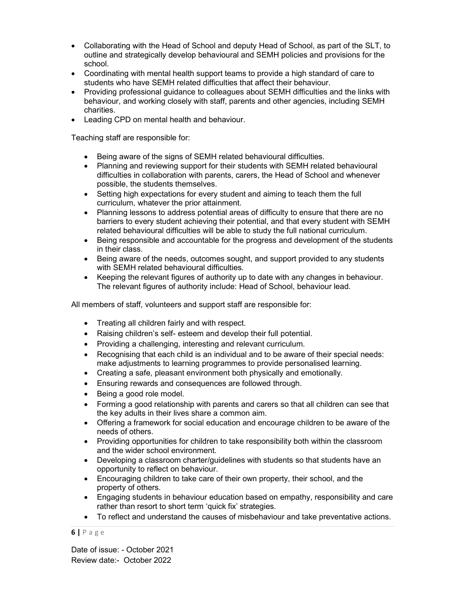- Collaborating with the Head of School and deputy Head of School, as part of the SLT, to outline and strategically develop behavioural and SEMH policies and provisions for the school.
- Coordinating with mental health support teams to provide a high standard of care to students who have SEMH related difficulties that affect their behaviour.
- Providing professional guidance to colleagues about SEMH difficulties and the links with behaviour, and working closely with staff, parents and other agencies, including SEMH charities.
- Leading CPD on mental health and behaviour.

Teaching staff are responsible for:

- Being aware of the signs of SEMH related behavioural difficulties.
- Planning and reviewing support for their students with SEMH related behavioural difficulties in collaboration with parents, carers, the Head of School and whenever possible, the students themselves.
- Setting high expectations for every student and aiming to teach them the full curriculum, whatever the prior attainment.
- Planning lessons to address potential areas of difficulty to ensure that there are no barriers to every student achieving their potential, and that every student with SEMH related behavioural difficulties will be able to study the full national curriculum.
- Being responsible and accountable for the progress and development of the students in their class.
- Being aware of the needs, outcomes sought, and support provided to any students with SEMH related behavioural difficulties.
- Keeping the relevant figures of authority up to date with any changes in behaviour. The relevant figures of authority include: Head of School, behaviour lead.

All members of staff, volunteers and support staff are responsible for:

- Treating all children fairly and with respect.
- Raising children's self- esteem and develop their full potential.
- Providing a challenging, interesting and relevant curriculum.
- Recognising that each child is an individual and to be aware of their special needs: make adjustments to learning programmes to provide personalised learning.
- Creating a safe, pleasant environment both physically and emotionally.
- Ensuring rewards and consequences are followed through.
- Being a good role model.
- Forming a good relationship with parents and carers so that all children can see that the key adults in their lives share a common aim.
- Offering a framework for social education and encourage children to be aware of the needs of others.
- Providing opportunities for children to take responsibility both within the classroom and the wider school environment.
- Developing a classroom charter/guidelines with students so that students have an opportunity to reflect on behaviour.
- Encouraging children to take care of their own property, their school, and the property of others.
- Engaging students in behaviour education based on empathy, responsibility and care rather than resort to short term 'quick fix' strategies.
- To reflect and understand the causes of misbehaviour and take preventative actions.

 $6$  | P a g e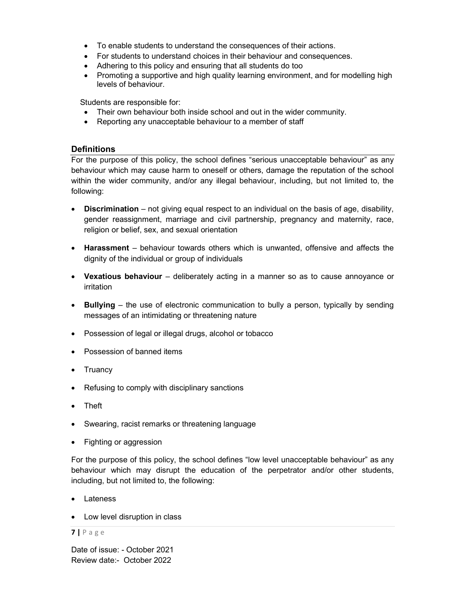- To enable students to understand the consequences of their actions.
- For students to understand choices in their behaviour and consequences.
- Adhering to this policy and ensuring that all students do too
- Promoting a supportive and high quality learning environment, and for modelling high levels of behaviour.

Students are responsible for:

- Their own behaviour both inside school and out in the wider community.
- Reporting any unacceptable behaviour to a member of staff

# **Definitions**

For the purpose of this policy, the school defines "serious unacceptable behaviour" as any behaviour which may cause harm to oneself or others, damage the reputation of the school within the wider community, and/or any illegal behaviour, including, but not limited to, the following:

- Discrimination not giving equal respect to an individual on the basis of age, disability, gender reassignment, marriage and civil partnership, pregnancy and maternity, race, religion or belief, sex, and sexual orientation
- Harassment behaviour towards others which is unwanted, offensive and affects the dignity of the individual or group of individuals
- Vexatious behaviour deliberately acting in a manner so as to cause annoyance or irritation
- Bullying the use of electronic communication to bully a person, typically by sending messages of an intimidating or threatening nature
- Possession of legal or illegal drugs, alcohol or tobacco
- Possession of banned items
- Truancy
- Refusing to comply with disciplinary sanctions
- Theft
- Swearing, racist remarks or threatening language
- Fighting or aggression

For the purpose of this policy, the school defines "low level unacceptable behaviour" as any behaviour which may disrupt the education of the perpetrator and/or other students, including, but not limited to, the following:

- Lateness
- Low level disruption in class

## 7 | P a g e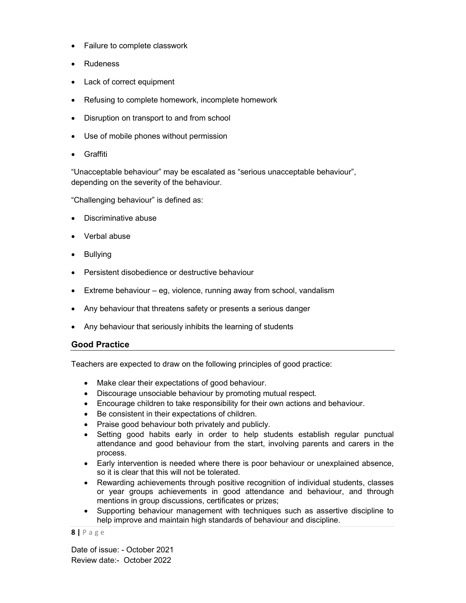- Failure to complete classwork
- Rudeness
- Lack of correct equipment
- Refusing to complete homework, incomplete homework
- Disruption on transport to and from school
- Use of mobile phones without permission
- Graffiti

"Unacceptable behaviour" may be escalated as "serious unacceptable behaviour", depending on the severity of the behaviour.

"Challenging behaviour" is defined as:

- Discriminative abuse
- Verbal abuse
- Bullying
- Persistent disobedience or destructive behaviour
- Extreme behaviour eg, violence, running away from school, vandalism
- Any behaviour that threatens safety or presents a serious danger
- Any behaviour that seriously inhibits the learning of students

## Good Practice

Teachers are expected to draw on the following principles of good practice:

- Make clear their expectations of good behaviour.
- Discourage unsociable behaviour by promoting mutual respect.
- Encourage children to take responsibility for their own actions and behaviour.
- Be consistent in their expectations of children.
- Praise good behaviour both privately and publicly.
- Setting good habits early in order to help students establish regular punctual attendance and good behaviour from the start, involving parents and carers in the process.
- Early intervention is needed where there is poor behaviour or unexplained absence, so it is clear that this will not be tolerated.
- Rewarding achievements through positive recognition of individual students, classes or year groups achievements in good attendance and behaviour, and through mentions in group discussions, certificates or prizes;
- Supporting behaviour management with techniques such as assertive discipline to help improve and maintain high standards of behaviour and discipline.

 $8$  | P a g e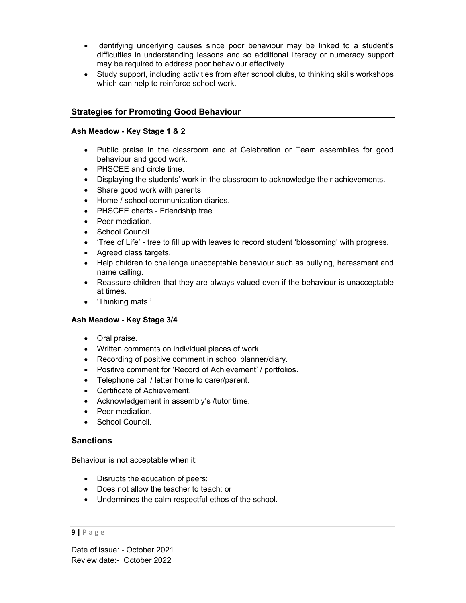- Identifying underlying causes since poor behaviour may be linked to a student's difficulties in understanding lessons and so additional literacy or numeracy support may be required to address poor behaviour effectively.
- Study support, including activities from after school clubs, to thinking skills workshops which can help to reinforce school work.

# Strategies for Promoting Good Behaviour

#### Ash Meadow - Key Stage 1 & 2

- Public praise in the classroom and at Celebration or Team assemblies for good behaviour and good work.
- PHSCEE and circle time.
- Displaying the students' work in the classroom to acknowledge their achievements.
- Share good work with parents.
- Home / school communication diaries.
- PHSCEE charts Friendship tree.
- Peer mediation.
- School Council.
- 'Tree of Life' tree to fill up with leaves to record student 'blossoming' with progress.
- Agreed class targets.
- Help children to challenge unacceptable behaviour such as bullying, harassment and name calling.
- Reassure children that they are always valued even if the behaviour is unacceptable at times.
- 'Thinking mats.'

## Ash Meadow - Key Stage 3/4

- Oral praise.
- Written comments on individual pieces of work.
- Recording of positive comment in school planner/diary.
- Positive comment for 'Record of Achievement' / portfolios.
- Telephone call / letter home to carer/parent.
- Certificate of Achievement.
- Acknowledgement in assembly's /tutor time.
- Peer mediation.
- School Council.

## **Sanctions**

Behaviour is not acceptable when it:

- Disrupts the education of peers;
- Does not allow the teacher to teach; or
- Undermines the calm respectful ethos of the school.

#### $9$  | P a g e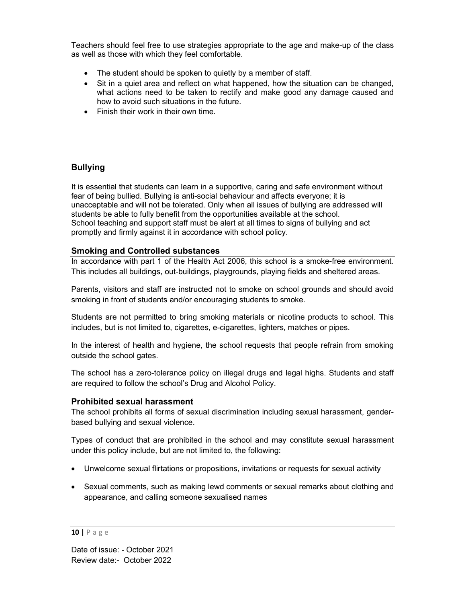Teachers should feel free to use strategies appropriate to the age and make-up of the class as well as those with which they feel comfortable.

- The student should be spoken to quietly by a member of staff.
- Sit in a quiet area and reflect on what happened, how the situation can be changed, what actions need to be taken to rectify and make good any damage caused and how to avoid such situations in the future.
- Finish their work in their own time.

# Bullying

It is essential that students can learn in a supportive, caring and safe environment without fear of being bullied. Bullying is anti-social behaviour and affects everyone; it is unacceptable and will not be tolerated. Only when all issues of bullying are addressed will students be able to fully benefit from the opportunities available at the school. School teaching and support staff must be alert at all times to signs of bullying and act promptly and firmly against it in accordance with school policy.

## Smoking and Controlled substances

In accordance with part 1 of the Health Act 2006, this school is a smoke-free environment. This includes all buildings, out-buildings, playgrounds, playing fields and sheltered areas.

Parents, visitors and staff are instructed not to smoke on school grounds and should avoid smoking in front of students and/or encouraging students to smoke.

Students are not permitted to bring smoking materials or nicotine products to school. This includes, but is not limited to, cigarettes, e-cigarettes, lighters, matches or pipes.

In the interest of health and hygiene, the school requests that people refrain from smoking outside the school gates.

The school has a zero-tolerance policy on illegal drugs and legal highs. Students and staff are required to follow the school's Drug and Alcohol Policy.

## Prohibited sexual harassment

The school prohibits all forms of sexual discrimination including sexual harassment, genderbased bullying and sexual violence.

Types of conduct that are prohibited in the school and may constitute sexual harassment under this policy include, but are not limited to, the following:

- Unwelcome sexual flirtations or propositions, invitations or requests for sexual activity
- Sexual comments, such as making lewd comments or sexual remarks about clothing and appearance, and calling someone sexualised names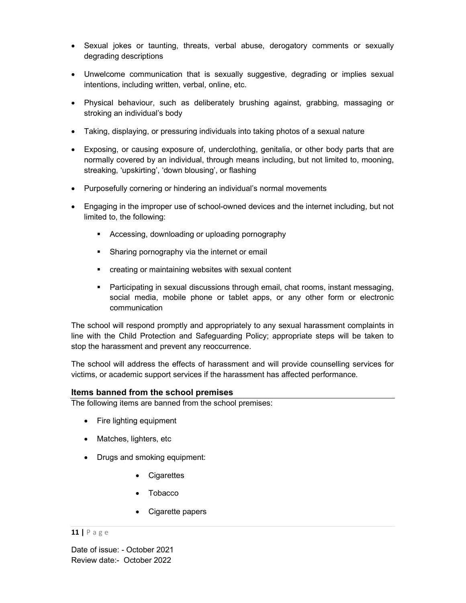- Sexual jokes or taunting, threats, verbal abuse, derogatory comments or sexually degrading descriptions
- Unwelcome communication that is sexually suggestive, degrading or implies sexual intentions, including written, verbal, online, etc.
- Physical behaviour, such as deliberately brushing against, grabbing, massaging or stroking an individual's body
- Taking, displaying, or pressuring individuals into taking photos of a sexual nature
- Exposing, or causing exposure of, underclothing, genitalia, or other body parts that are normally covered by an individual, through means including, but not limited to, mooning, streaking, 'upskirting', 'down blousing', or flashing
- Purposefully cornering or hindering an individual's normal movements
- Engaging in the improper use of school-owned devices and the internet including, but not limited to, the following:
	- Accessing, downloading or uploading pornography
	- **Sharing pornography via the internet or email**
	- creating or maintaining websites with sexual content
	- Participating in sexual discussions through email, chat rooms, instant messaging, social media, mobile phone or tablet apps, or any other form or electronic communication

The school will respond promptly and appropriately to any sexual harassment complaints in line with the Child Protection and Safeguarding Policy; appropriate steps will be taken to stop the harassment and prevent any reoccurrence.

The school will address the effects of harassment and will provide counselling services for victims, or academic support services if the harassment has affected performance.

## Items banned from the school premises

The following items are banned from the school premises:

- Fire lighting equipment
- Matches, lighters, etc
- Drugs and smoking equipment:
	- Cigarettes
	- Tobacco
	- Cigarette papers

#### 11 | P a g e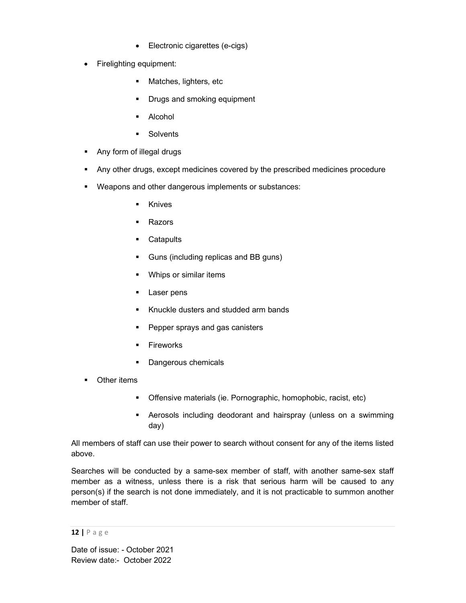- Electronic cigarettes (e-cigs)
- Firelighting equipment:
	- **Matches, lighters, etc.**
	- Drugs and smoking equipment
	- Alcohol
	- **Solvents**
- **Any form of illegal drugs**
- Any other drugs, except medicines covered by the prescribed medicines procedure
- Weapons and other dangerous implements or substances:
	- Knives
	- Razors
	- **Catapults**
	- Guns (including replicas and BB guns)
	- **Whips or similar items**
	- **Laser pens**
	- Knuckle dusters and studded arm bands
	- **Pepper sprays and gas canisters**
	- **Fireworks**
	- **Dangerous chemicals**
- Other items
	- Offensive materials (ie. Pornographic, homophobic, racist, etc)
	- Aerosols including deodorant and hairspray (unless on a swimming day)

All members of staff can use their power to search without consent for any of the items listed above.

Searches will be conducted by a same-sex member of staff, with another same-sex staff member as a witness, unless there is a risk that serious harm will be caused to any person(s) if the search is not done immediately, and it is not practicable to summon another member of staff.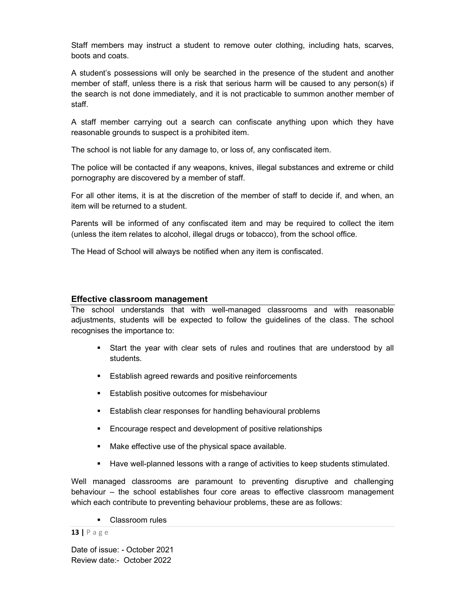Staff members may instruct a student to remove outer clothing, including hats, scarves, boots and coats.

A student's possessions will only be searched in the presence of the student and another member of staff, unless there is a risk that serious harm will be caused to any person(s) if the search is not done immediately, and it is not practicable to summon another member of staff.

A staff member carrying out a search can confiscate anything upon which they have reasonable grounds to suspect is a prohibited item.

The school is not liable for any damage to, or loss of, any confiscated item.

The police will be contacted if any weapons, knives, illegal substances and extreme or child pornography are discovered by a member of staff.

For all other items, it is at the discretion of the member of staff to decide if, and when, an item will be returned to a student.

Parents will be informed of any confiscated item and may be required to collect the item (unless the item relates to alcohol, illegal drugs or tobacco), from the school office.

The Head of School will always be notified when any item is confiscated.

#### Effective classroom management

The school understands that with well-managed classrooms and with reasonable adjustments, students will be expected to follow the guidelines of the class. The school recognises the importance to:

- Start the year with clear sets of rules and routines that are understood by all students.
- **Establish agreed rewards and positive reinforcements**
- **Establish positive outcomes for misbehaviour**
- **Establish clear responses for handling behavioural problems**
- **Encourage respect and development of positive relationships**
- Make effective use of the physical space available.
- **Have well-planned lessons with a range of activities to keep students stimulated.**

Well managed classrooms are paramount to preventing disruptive and challenging behaviour – the school establishes four core areas to effective classroom management which each contribute to preventing behaviour problems, these are as follows:

**Classroom rules** 

#### 13 | P a g e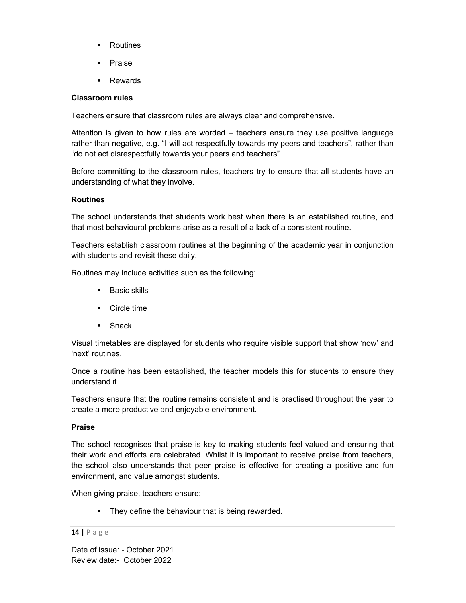- **Routines**
- **Praise**
- **Rewards**

## Classroom rules

Teachers ensure that classroom rules are always clear and comprehensive.

Attention is given to how rules are worded – teachers ensure they use positive language rather than negative, e.g. "I will act respectfully towards my peers and teachers", rather than "do not act disrespectfully towards your peers and teachers".

Before committing to the classroom rules, teachers try to ensure that all students have an understanding of what they involve.

## Routines

The school understands that students work best when there is an established routine, and that most behavioural problems arise as a result of a lack of a consistent routine.

Teachers establish classroom routines at the beginning of the academic year in conjunction with students and revisit these daily.

Routines may include activities such as the following:

- **Basic skills**
- **Circle time**
- **Snack**

Visual timetables are displayed for students who require visible support that show 'now' and 'next' routines.

Once a routine has been established, the teacher models this for students to ensure they understand it.

Teachers ensure that the routine remains consistent and is practised throughout the year to create a more productive and enjoyable environment.

#### Praise

The school recognises that praise is key to making students feel valued and ensuring that their work and efforts are celebrated. Whilst it is important to receive praise from teachers, the school also understands that peer praise is effective for creating a positive and fun environment, and value amongst students.

When giving praise, teachers ensure:

**They define the behaviour that is being rewarded.** 

#### 14 | P a g e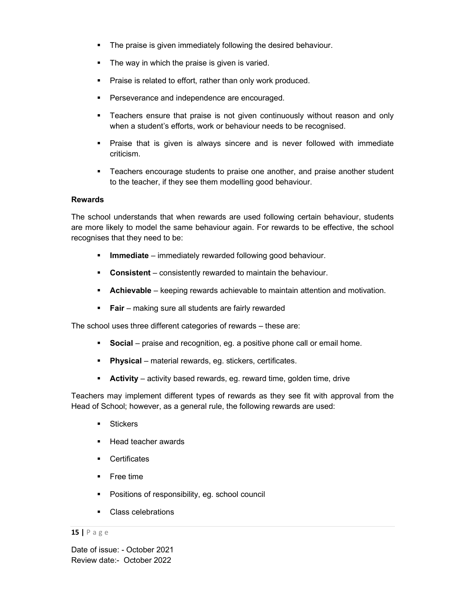- **The praise is given immediately following the desired behaviour.**
- The way in which the praise is given is varied.
- **Praise is related to effort, rather than only work produced.**
- **Perseverance and independence are encouraged.**
- Teachers ensure that praise is not given continuously without reason and only when a student's efforts, work or behaviour needs to be recognised.
- Praise that is given is always sincere and is never followed with immediate criticism.
- **Teachers encourage students to praise one another, and praise another student** to the teacher, if they see them modelling good behaviour.

#### Rewards

The school understands that when rewards are used following certain behaviour, students are more likely to model the same behaviour again. For rewards to be effective, the school recognises that they need to be:

- **Immediate** immediately rewarded following good behaviour.
- **Consistent** consistently rewarded to maintain the behaviour.
- **Achievable** keeping rewards achievable to maintain attention and motivation.
- **Fair** making sure all students are fairly rewarded

The school uses three different categories of rewards – these are:

- **Social** praise and recognition, eg. a positive phone call or email home.
- **Physical** material rewards, eg. stickers, certificates.
- **Activity** activity based rewards, eg. reward time, golden time, drive

Teachers may implement different types of rewards as they see fit with approval from the Head of School; however, as a general rule, the following rewards are used:

- **Stickers**
- Head teacher awards
- **Certificates**
- **Free time**
- **•** Positions of responsibility, eg. school council
- Class celebrations

#### 15 | P a g e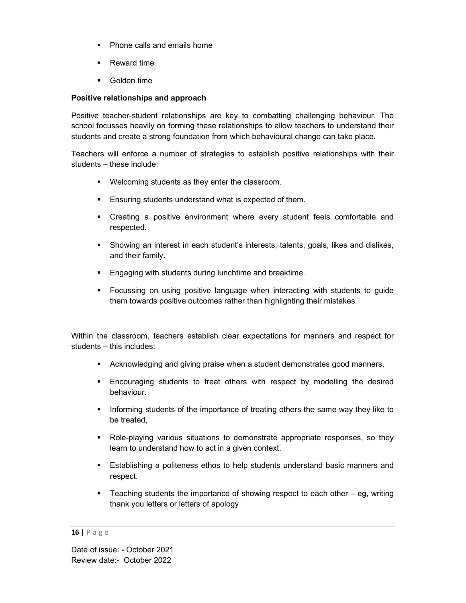- Phone calls and emails home
- **Reward time**
- **Golden time**

## Positive relationships and approach

Positive teacher-student relationships are key to combatting challenging behaviour. The school focusses heavily on forming these relationships to allow teachers to understand their students and create a strong foundation from which behavioural change can take place.

Teachers will enforce a number of strategies to establish positive relationships with their students – these include:

- Welcoming students as they enter the classroom.
- **Ensuring students understand what is expected of them.**
- Creating a positive environment where every student feels comfortable and respected.
- Showing an interest in each student's interests, talents, goals, likes and dislikes, and their family.
- **Engaging with students during lunchtime and breaktime.**
- Focussing on using positive language when interacting with students to guide them towards positive outcomes rather than highlighting their mistakes.

Within the classroom, teachers establish clear expectations for manners and respect for students – this includes:

- Acknowledging and giving praise when a student demonstrates good manners.
- Encouraging students to treat others with respect by modelling the desired behaviour.
- Informing students of the importance of treating others the same way they like to be treated,
- Role-playing various situations to demonstrate appropriate responses, so they learn to understand how to act in a given context.
- Establishing a politeness ethos to help students understand basic manners and respect.
- Teaching students the importance of showing respect to each other eg, writing thank you letters or letters of apology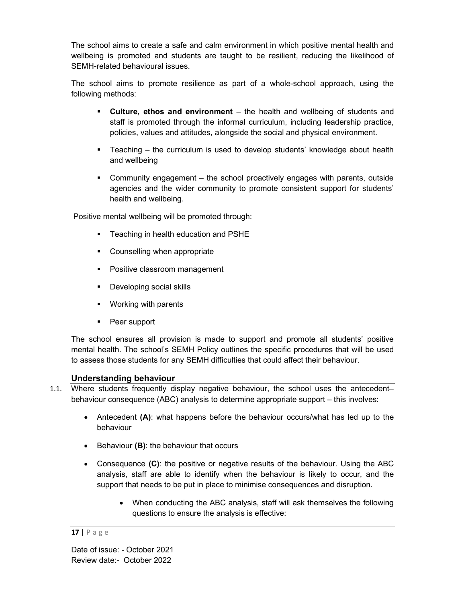The school aims to create a safe and calm environment in which positive mental health and wellbeing is promoted and students are taught to be resilient, reducing the likelihood of SEMH-related behavioural issues.

The school aims to promote resilience as part of a whole-school approach, using the following methods:

- Culture, ethos and environment the health and wellbeing of students and staff is promoted through the informal curriculum, including leadership practice, policies, values and attitudes, alongside the social and physical environment.
- Teaching the curriculum is used to develop students' knowledge about health and wellbeing
- Community engagement the school proactively engages with parents, outside agencies and the wider community to promote consistent support for students' health and wellbeing.

Positive mental wellbeing will be promoted through:

- **Teaching in health education and PSHE**
- Counselling when appropriate
- Positive classroom management
- Developing social skills
- **•** Working with parents
- Peer support

The school ensures all provision is made to support and promote all students' positive mental health. The school's SEMH Policy outlines the specific procedures that will be used to assess those students for any SEMH difficulties that could affect their behaviour.

# Understanding behaviour

- 1.1. Where students frequently display negative behaviour, the school uses the antecedent– behaviour consequence (ABC) analysis to determine appropriate support – this involves:
	- Antecedent (A): what happens before the behaviour occurs/what has led up to the behaviour
	- **Behaviour (B): the behaviour that occurs**
	- Consequence (C): the positive or negative results of the behaviour. Using the ABC analysis, staff are able to identify when the behaviour is likely to occur, and the support that needs to be put in place to minimise consequences and disruption.
		- When conducting the ABC analysis, staff will ask themselves the following questions to ensure the analysis is effective: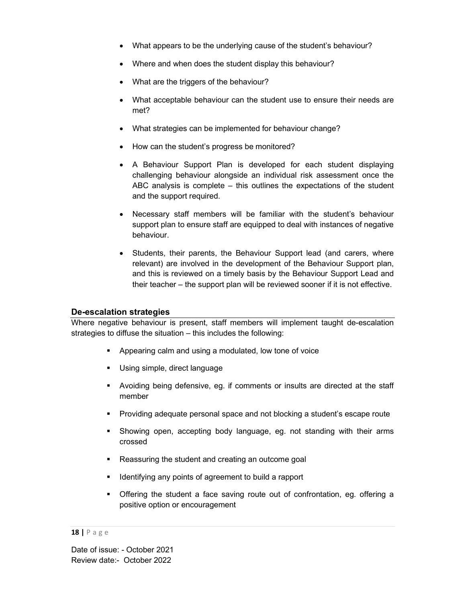- What appears to be the underlying cause of the student's behaviour?
- Where and when does the student display this behaviour?
- What are the triggers of the behaviour?
- What acceptable behaviour can the student use to ensure their needs are met?
- What strategies can be implemented for behaviour change?
- How can the student's progress be monitored?
- A Behaviour Support Plan is developed for each student displaying challenging behaviour alongside an individual risk assessment once the ABC analysis is complete – this outlines the expectations of the student and the support required.
- Necessary staff members will be familiar with the student's behaviour support plan to ensure staff are equipped to deal with instances of negative behaviour.
- Students, their parents, the Behaviour Support lead (and carers, where relevant) are involved in the development of the Behaviour Support plan, and this is reviewed on a timely basis by the Behaviour Support Lead and their teacher – the support plan will be reviewed sooner if it is not effective.

## De-escalation strategies

Where negative behaviour is present, staff members will implement taught de-escalation strategies to diffuse the situation – this includes the following:

- **Appearing calm and using a modulated, low tone of voice**
- **Using simple, direct language**
- Avoiding being defensive, eg. if comments or insults are directed at the staff member
- **Providing adequate personal space and not blocking a student's escape route**
- Showing open, accepting body language, eg. not standing with their arms crossed
- Reassuring the student and creating an outcome goal
- **IDENT** Identifying any points of agreement to build a rapport
- Offering the student a face saving route out of confrontation, eg. offering a positive option or encouragement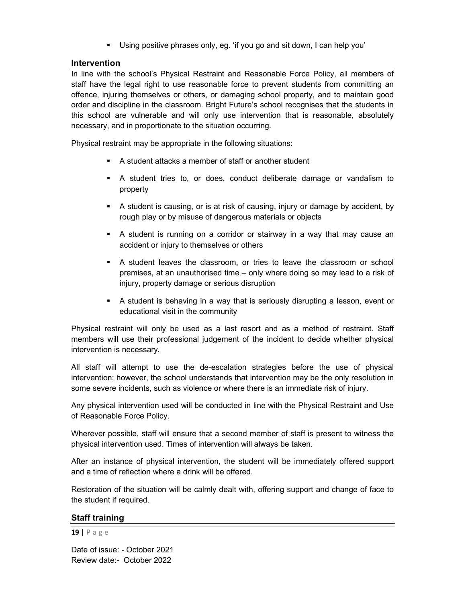Using positive phrases only, eg. 'if you go and sit down, I can help you'

## Intervention

In line with the school's Physical Restraint and Reasonable Force Policy, all members of staff have the legal right to use reasonable force to prevent students from committing an offence, injuring themselves or others, or damaging school property, and to maintain good order and discipline in the classroom. Bright Future's school recognises that the students in this school are vulnerable and will only use intervention that is reasonable, absolutely necessary, and in proportionate to the situation occurring.

Physical restraint may be appropriate in the following situations:

- A student attacks a member of staff or another student
- A student tries to, or does, conduct deliberate damage or vandalism to property
- A student is causing, or is at risk of causing, injury or damage by accident, by rough play or by misuse of dangerous materials or objects
- A student is running on a corridor or stairway in a way that may cause an accident or injury to themselves or others
- A student leaves the classroom, or tries to leave the classroom or school premises, at an unauthorised time – only where doing so may lead to a risk of injury, property damage or serious disruption
- A student is behaving in a way that is seriously disrupting a lesson, event or educational visit in the community

Physical restraint will only be used as a last resort and as a method of restraint. Staff members will use their professional judgement of the incident to decide whether physical intervention is necessary.

All staff will attempt to use the de-escalation strategies before the use of physical intervention; however, the school understands that intervention may be the only resolution in some severe incidents, such as violence or where there is an immediate risk of injury.

Any physical intervention used will be conducted in line with the Physical Restraint and Use of Reasonable Force Policy.

Wherever possible, staff will ensure that a second member of staff is present to witness the physical intervention used. Times of intervention will always be taken.

After an instance of physical intervention, the student will be immediately offered support and a time of reflection where a drink will be offered.

Restoration of the situation will be calmly dealt with, offering support and change of face to the student if required.

## Staff training

#### 19 | P a g e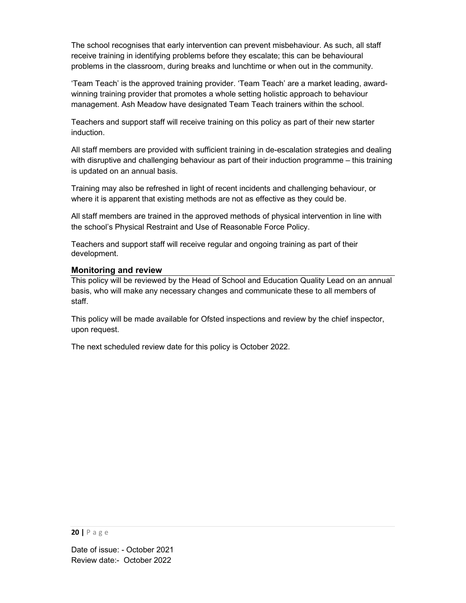The school recognises that early intervention can prevent misbehaviour. As such, all staff receive training in identifying problems before they escalate; this can be behavioural problems in the classroom, during breaks and lunchtime or when out in the community.

'Team Teach' is the approved training provider. 'Team Teach' are a market leading, awardwinning training provider that promotes a whole setting holistic approach to behaviour management. Ash Meadow have designated Team Teach trainers within the school.

Teachers and support staff will receive training on this policy as part of their new starter induction.

All staff members are provided with sufficient training in de-escalation strategies and dealing with disruptive and challenging behaviour as part of their induction programme – this training is updated on an annual basis.

Training may also be refreshed in light of recent incidents and challenging behaviour, or where it is apparent that existing methods are not as effective as they could be.

All staff members are trained in the approved methods of physical intervention in line with the school's Physical Restraint and Use of Reasonable Force Policy.

Teachers and support staff will receive regular and ongoing training as part of their development.

## Monitoring and review

This policy will be reviewed by the Head of School and Education Quality Lead on an annual basis, who will make any necessary changes and communicate these to all members of staff.

This policy will be made available for Ofsted inspections and review by the chief inspector, upon request.

The next scheduled review date for this policy is October 2022.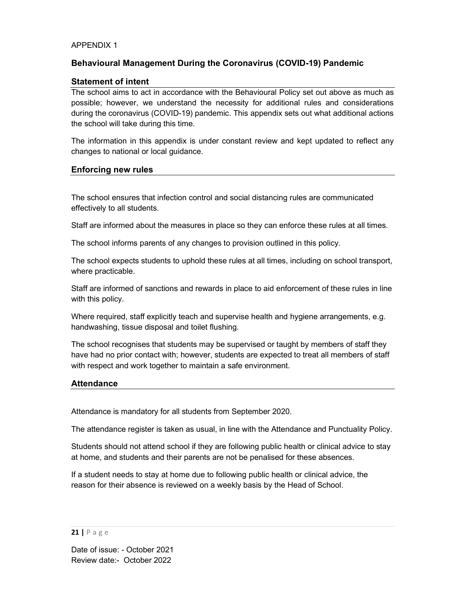#### APPENDIX 1

# Behavioural Management During the Coronavirus (COVID-19) Pandemic

## Statement of intent

The school aims to act in accordance with the Behavioural Policy set out above as much as possible; however, we understand the necessity for additional rules and considerations during the coronavirus (COVID-19) pandemic. This appendix sets out what additional actions the school will take during this time.

The information in this appendix is under constant review and kept updated to reflect any changes to national or local guidance.

#### Enforcing new rules

The school ensures that infection control and social distancing rules are communicated effectively to all students.

Staff are informed about the measures in place so they can enforce these rules at all times.

The school informs parents of any changes to provision outlined in this policy.

The school expects students to uphold these rules at all times, including on school transport, where practicable.

Staff are informed of sanctions and rewards in place to aid enforcement of these rules in line with this policy.

Where required, staff explicitly teach and supervise health and hygiene arrangements, e.g. handwashing, tissue disposal and toilet flushing.

The school recognises that students may be supervised or taught by members of staff they have had no prior contact with; however, students are expected to treat all members of staff with respect and work together to maintain a safe environment.

## Attendance

Attendance is mandatory for all students from September 2020.

The attendance register is taken as usual, in line with the Attendance and Punctuality Policy.

Students should not attend school if they are following public health or clinical advice to stay at home, and students and their parents are not be penalised for these absences.

If a student needs to stay at home due to following public health or clinical advice, the reason for their absence is reviewed on a weekly basis by the Head of School.

#### 21 | P a g e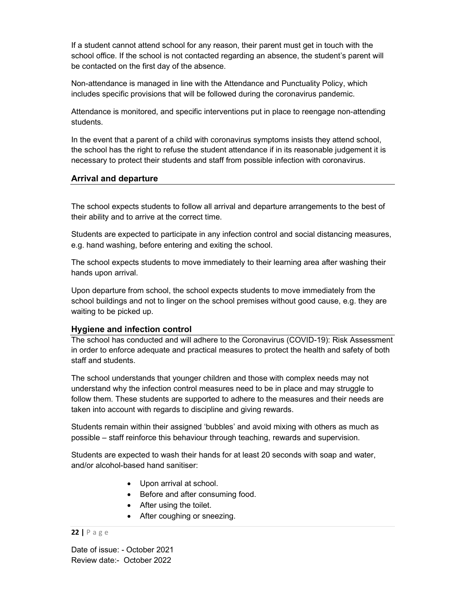If a student cannot attend school for any reason, their parent must get in touch with the school office. If the school is not contacted regarding an absence, the student's parent will be contacted on the first day of the absence.

Non-attendance is managed in line with the Attendance and Punctuality Policy, which includes specific provisions that will be followed during the coronavirus pandemic.

Attendance is monitored, and specific interventions put in place to reengage non-attending students.

In the event that a parent of a child with coronavirus symptoms insists they attend school, the school has the right to refuse the student attendance if in its reasonable judgement it is necessary to protect their students and staff from possible infection with coronavirus.

#### Arrival and departure

The school expects students to follow all arrival and departure arrangements to the best of their ability and to arrive at the correct time.

Students are expected to participate in any infection control and social distancing measures, e.g. hand washing, before entering and exiting the school.

The school expects students to move immediately to their learning area after washing their hands upon arrival.

Upon departure from school, the school expects students to move immediately from the school buildings and not to linger on the school premises without good cause, e.g. they are waiting to be picked up.

## Hygiene and infection control

The school has conducted and will adhere to the Coronavirus (COVID-19): Risk Assessment in order to enforce adequate and practical measures to protect the health and safety of both staff and students.

The school understands that younger children and those with complex needs may not understand why the infection control measures need to be in place and may struggle to follow them. These students are supported to adhere to the measures and their needs are taken into account with regards to discipline and giving rewards.

Students remain within their assigned 'bubbles' and avoid mixing with others as much as possible – staff reinforce this behaviour through teaching, rewards and supervision.

Students are expected to wash their hands for at least 20 seconds with soap and water, and/or alcohol-based hand sanitiser:

- Upon arrival at school.
- Before and after consuming food.
- After using the toilet.
- After coughing or sneezing.

#### 22 | P a g e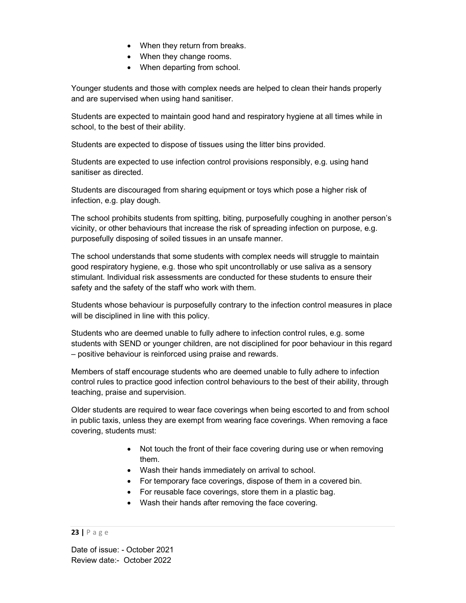- When they return from breaks.
- When they change rooms.
- When departing from school.

Younger students and those with complex needs are helped to clean their hands properly and are supervised when using hand sanitiser.

Students are expected to maintain good hand and respiratory hygiene at all times while in school, to the best of their ability.

Students are expected to dispose of tissues using the litter bins provided.

Students are expected to use infection control provisions responsibly, e.g. using hand sanitiser as directed.

Students are discouraged from sharing equipment or toys which pose a higher risk of infection, e.g. play dough.

The school prohibits students from spitting, biting, purposefully coughing in another person's vicinity, or other behaviours that increase the risk of spreading infection on purpose, e.g. purposefully disposing of soiled tissues in an unsafe manner.

The school understands that some students with complex needs will struggle to maintain good respiratory hygiene, e.g. those who spit uncontrollably or use saliva as a sensory stimulant. Individual risk assessments are conducted for these students to ensure their safety and the safety of the staff who work with them.

Students whose behaviour is purposefully contrary to the infection control measures in place will be disciplined in line with this policy.

Students who are deemed unable to fully adhere to infection control rules, e.g. some students with SEND or younger children, are not disciplined for poor behaviour in this regard – positive behaviour is reinforced using praise and rewards.

Members of staff encourage students who are deemed unable to fully adhere to infection control rules to practice good infection control behaviours to the best of their ability, through teaching, praise and supervision.

Older students are required to wear face coverings when being escorted to and from school in public taxis, unless they are exempt from wearing face coverings. When removing a face covering, students must:

- Not touch the front of their face covering during use or when removing them.
- Wash their hands immediately on arrival to school.
- For temporary face coverings, dispose of them in a covered bin.
- For reusable face coverings, store them in a plastic bag.
- Wash their hands after removing the face covering.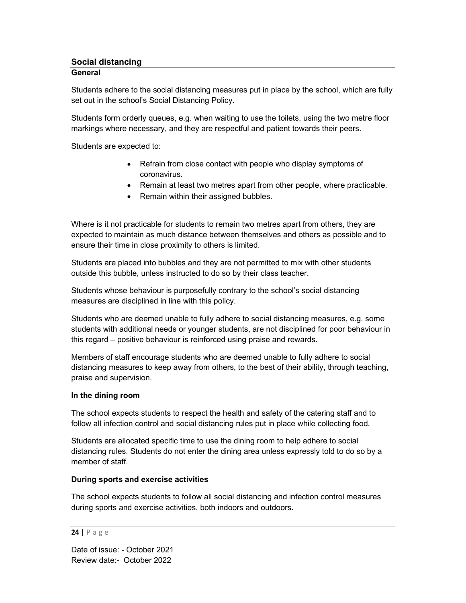# Social distancing

## **General**

Students adhere to the social distancing measures put in place by the school, which are fully set out in the school's Social Distancing Policy.

Students form orderly queues, e.g. when waiting to use the toilets, using the two metre floor markings where necessary, and they are respectful and patient towards their peers.

Students are expected to:

- Refrain from close contact with people who display symptoms of coronavirus.
- Remain at least two metres apart from other people, where practicable.
- Remain within their assigned bubbles.

Where is it not practicable for students to remain two metres apart from others, they are expected to maintain as much distance between themselves and others as possible and to ensure their time in close proximity to others is limited.

Students are placed into bubbles and they are not permitted to mix with other students outside this bubble, unless instructed to do so by their class teacher.

Students whose behaviour is purposefully contrary to the school's social distancing measures are disciplined in line with this policy.

Students who are deemed unable to fully adhere to social distancing measures, e.g. some students with additional needs or younger students, are not disciplined for poor behaviour in this regard – positive behaviour is reinforced using praise and rewards.

Members of staff encourage students who are deemed unable to fully adhere to social distancing measures to keep away from others, to the best of their ability, through teaching, praise and supervision.

## In the dining room

The school expects students to respect the health and safety of the catering staff and to follow all infection control and social distancing rules put in place while collecting food.

Students are allocated specific time to use the dining room to help adhere to social distancing rules. Students do not enter the dining area unless expressly told to do so by a member of staff.

# During sports and exercise activities

The school expects students to follow all social distancing and infection control measures during sports and exercise activities, both indoors and outdoors.

#### 24 | P a g e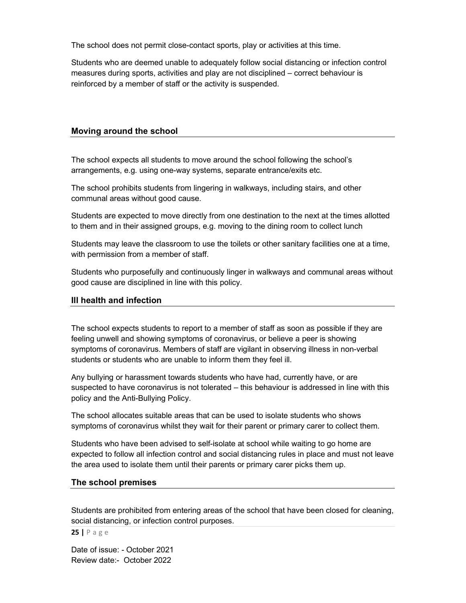The school does not permit close-contact sports, play or activities at this time.

Students who are deemed unable to adequately follow social distancing or infection control measures during sports, activities and play are not disciplined – correct behaviour is reinforced by a member of staff or the activity is suspended.

#### Moving around the school

The school expects all students to move around the school following the school's arrangements, e.g. using one-way systems, separate entrance/exits etc.

The school prohibits students from lingering in walkways, including stairs, and other communal areas without good cause.

Students are expected to move directly from one destination to the next at the times allotted to them and in their assigned groups, e.g. moving to the dining room to collect lunch

Students may leave the classroom to use the toilets or other sanitary facilities one at a time, with permission from a member of staff.

Students who purposefully and continuously linger in walkways and communal areas without good cause are disciplined in line with this policy.

#### Ill health and infection

The school expects students to report to a member of staff as soon as possible if they are feeling unwell and showing symptoms of coronavirus, or believe a peer is showing symptoms of coronavirus. Members of staff are vigilant in observing illness in non-verbal students or students who are unable to inform them they feel ill.

Any bullying or harassment towards students who have had, currently have, or are suspected to have coronavirus is not tolerated – this behaviour is addressed in line with this policy and the Anti-Bullying Policy.

The school allocates suitable areas that can be used to isolate students who shows symptoms of coronavirus whilst they wait for their parent or primary carer to collect them.

Students who have been advised to self-isolate at school while waiting to go home are expected to follow all infection control and social distancing rules in place and must not leave the area used to isolate them until their parents or primary carer picks them up.

#### The school premises

Students are prohibited from entering areas of the school that have been closed for cleaning, social distancing, or infection control purposes.

25 | P a g e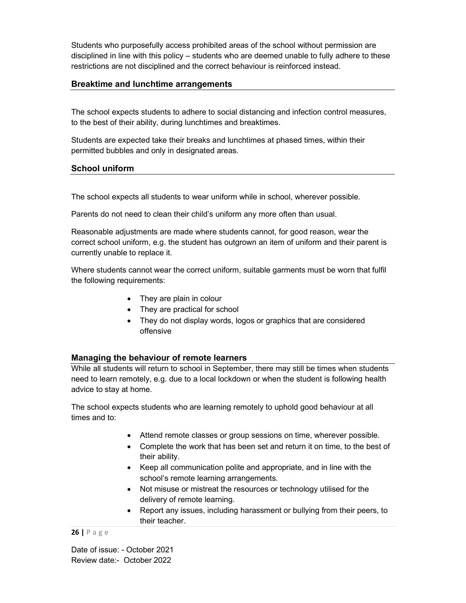Students who purposefully access prohibited areas of the school without permission are disciplined in line with this policy – students who are deemed unable to fully adhere to these restrictions are not disciplined and the correct behaviour is reinforced instead.

# Breaktime and lunchtime arrangements

The school expects students to adhere to social distancing and infection control measures, to the best of their ability, during lunchtimes and breaktimes.

Students are expected take their breaks and lunchtimes at phased times, within their permitted bubbles and only in designated areas.

# School uniform

The school expects all students to wear uniform while in school, wherever possible.

Parents do not need to clean their child's uniform any more often than usual.

Reasonable adjustments are made where students cannot, for good reason, wear the correct school uniform, e.g. the student has outgrown an item of uniform and their parent is currently unable to replace it.

Where students cannot wear the correct uniform, suitable garments must be worn that fulfil the following requirements:

- They are plain in colour
- They are practical for school
- They do not display words, logos or graphics that are considered offensive

# Managing the behaviour of remote learners

While all students will return to school in September, there may still be times when students need to learn remotely, e.g. due to a local lockdown or when the student is following health advice to stay at home.

The school expects students who are learning remotely to uphold good behaviour at all times and to:

- Attend remote classes or group sessions on time, wherever possible.
- Complete the work that has been set and return it on time, to the best of their ability.
- Keep all communication polite and appropriate, and in line with the school's remote learning arrangements.
- Not misuse or mistreat the resources or technology utilised for the delivery of remote learning.
- Report any issues, including harassment or bullying from their peers, to their teacher.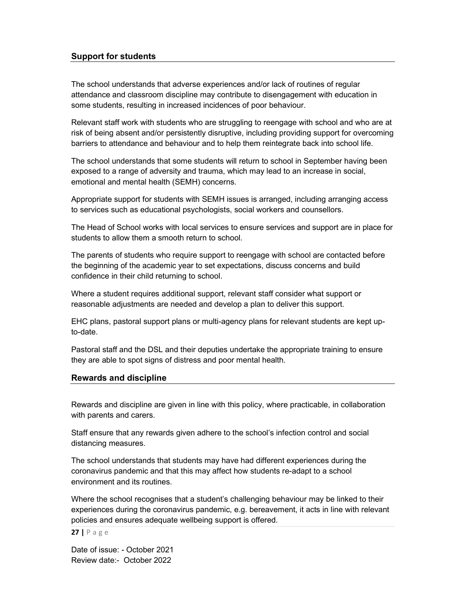## Support for students

The school understands that adverse experiences and/or lack of routines of regular attendance and classroom discipline may contribute to disengagement with education in some students, resulting in increased incidences of poor behaviour.

Relevant staff work with students who are struggling to reengage with school and who are at risk of being absent and/or persistently disruptive, including providing support for overcoming barriers to attendance and behaviour and to help them reintegrate back into school life.

The school understands that some students will return to school in September having been exposed to a range of adversity and trauma, which may lead to an increase in social, emotional and mental health (SEMH) concerns.

Appropriate support for students with SEMH issues is arranged, including arranging access to services such as educational psychologists, social workers and counsellors.

The Head of School works with local services to ensure services and support are in place for students to allow them a smooth return to school.

The parents of students who require support to reengage with school are contacted before the beginning of the academic year to set expectations, discuss concerns and build confidence in their child returning to school.

Where a student requires additional support, relevant staff consider what support or reasonable adjustments are needed and develop a plan to deliver this support.

EHC plans, pastoral support plans or multi-agency plans for relevant students are kept upto-date.

Pastoral staff and the DSL and their deputies undertake the appropriate training to ensure they are able to spot signs of distress and poor mental health.

#### Rewards and discipline

Rewards and discipline are given in line with this policy, where practicable, in collaboration with parents and carers.

Staff ensure that any rewards given adhere to the school's infection control and social distancing measures.

The school understands that students may have had different experiences during the coronavirus pandemic and that this may affect how students re-adapt to a school environment and its routines.

Where the school recognises that a student's challenging behaviour may be linked to their experiences during the coronavirus pandemic, e.g. bereavement, it acts in line with relevant policies and ensures adequate wellbeing support is offered.

#### 27 | P a g e